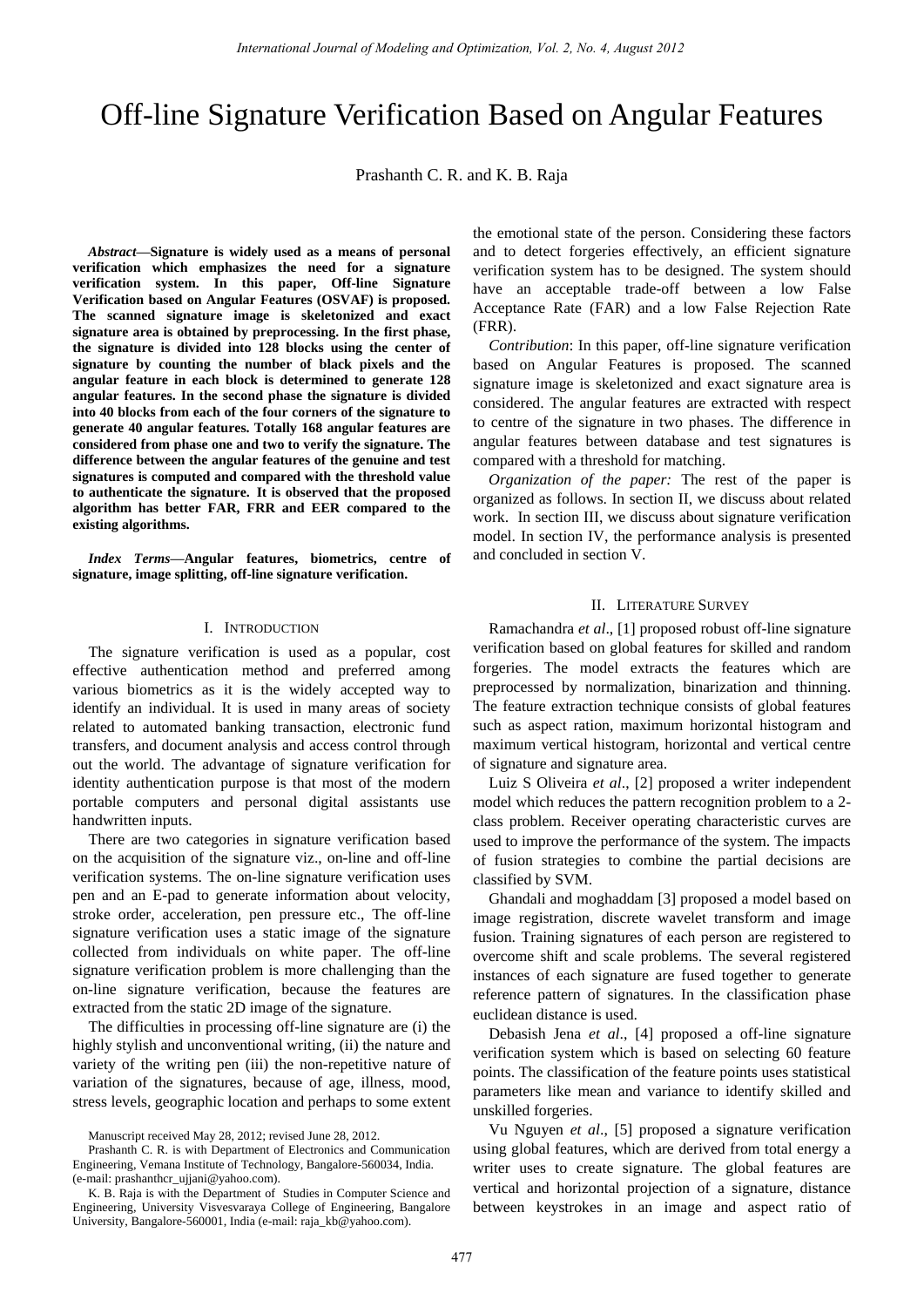# Off-line Signature Verification Based on Angular Features

Prashanth C. R. and K. B. Raja

*Abstract***—Signature is widely used as a means of personal verification which emphasizes the need for a signature verification system. In this paper, Off-line Signature Verification based on Angular Features (OSVAF) is proposed. The scanned signature image is skeletonized and exact signature area is obtained by preprocessing. In the first phase, the signature is divided into 128 blocks using the center of signature by counting the number of black pixels and the angular feature in each block is determined to generate 128 angular features. In the second phase the signature is divided into 40 blocks from each of the four corners of the signature to generate 40 angular features. Totally 168 angular features are considered from phase one and two to verify the signature. The difference between the angular features of the genuine and test signatures is computed and compared with the threshold value to authenticate the signature. It is observed that the proposed algorithm has better FAR, FRR and EER compared to the existing algorithms.** 

*Index Terms***—Angular features, biometrics, centre of signature, image splitting, off-line signature verification.** 

#### I. INTRODUCTION

The signature verification is used as a popular, cost effective authentication method and preferred among various biometrics as it is the widely accepted way to identify an individual. It is used in many areas of society related to automated banking transaction, electronic fund transfers, and document analysis and access control through out the world. The advantage of signature verification for identity authentication purpose is that most of the modern portable computers and personal digital assistants use handwritten inputs.

There are two categories in signature verification based on the acquisition of the signature viz., on-line and off-line verification systems. The on-line signature verification uses pen and an E-pad to generate information about velocity, stroke order, acceleration, pen pressure etc., The off-line signature verification uses a static image of the signature collected from individuals on white paper. The off-line signature verification problem is more challenging than the on-line signature verification, because the features are extracted from the static 2D image of the signature.

The difficulties in processing off-line signature are (i) the highly stylish and unconventional writing, (ii) the nature and variety of the writing pen (iii) the non-repetitive nature of variation of the signatures, because of age, illness, mood, stress levels, geographic location and perhaps to some extent

Manuscript received May 28, 2012; revised June 28, 2012.

the emotional state of the person. Considering these factors and to detect forgeries effectively, an efficient signature verification system has to be designed. The system should have an acceptable trade-off between a low False Acceptance Rate (FAR) and a low False Rejection Rate (FRR).

*Contribution*: In this paper, off-line signature verification based on Angular Features is proposed. The scanned signature image is skeletonized and exact signature area is considered. The angular features are extracted with respect to centre of the signature in two phases. The difference in angular features between database and test signatures is compared with a threshold for matching.

*Organization of the paper:* The rest of the paper is organized as follows. In section II, we discuss about related work. In section III, we discuss about signature verification model. In section IV, the performance analysis is presented and concluded in section V.

#### II. LITERATURE SURVEY

Ramachandra *et al*., [1] proposed robust off-line signature verification based on global features for skilled and random forgeries. The model extracts the features which are preprocessed by normalization, binarization and thinning. The feature extraction technique consists of global features such as aspect ration, maximum horizontal histogram and maximum vertical histogram, horizontal and vertical centre of signature and signature area.

Luiz S Oliveira *et al*., [2] proposed a writer independent model which reduces the pattern recognition problem to a 2 class problem. Receiver operating characteristic curves are used to improve the performance of the system. The impacts of fusion strategies to combine the partial decisions are classified by SVM.

Ghandali and moghaddam [3] proposed a model based on image registration, discrete wavelet transform and image fusion. Training signatures of each person are registered to overcome shift and scale problems. The several registered instances of each signature are fused together to generate reference pattern of signatures. In the classification phase euclidean distance is used.

Debasish Jena *et al*., [4] proposed a off-line signature verification system which is based on selecting 60 feature points. The classification of the feature points uses statistical parameters like mean and variance to identify skilled and unskilled forgeries.

Vu Nguyen *et al*., [5] proposed a signature verification using global features, which are derived from total energy a writer uses to create signature. The global features are vertical and horizontal projection of a signature, distance between keystrokes in an image and aspect ratio of

Prashanth C. R. is with Department of Electronics and Communication Engineering, Vemana Institute of Technology, Bangalore-560034, India. (e-mail: prashanthcr\_ujjani@yahoo.com).

K. B. Raja is with the Department of Studies in Computer Science and Engineering, University Visvesvaraya College of Engineering, Bangalore University, Bangalore-560001, India (e-mail: raja\_kb@yahoo.com).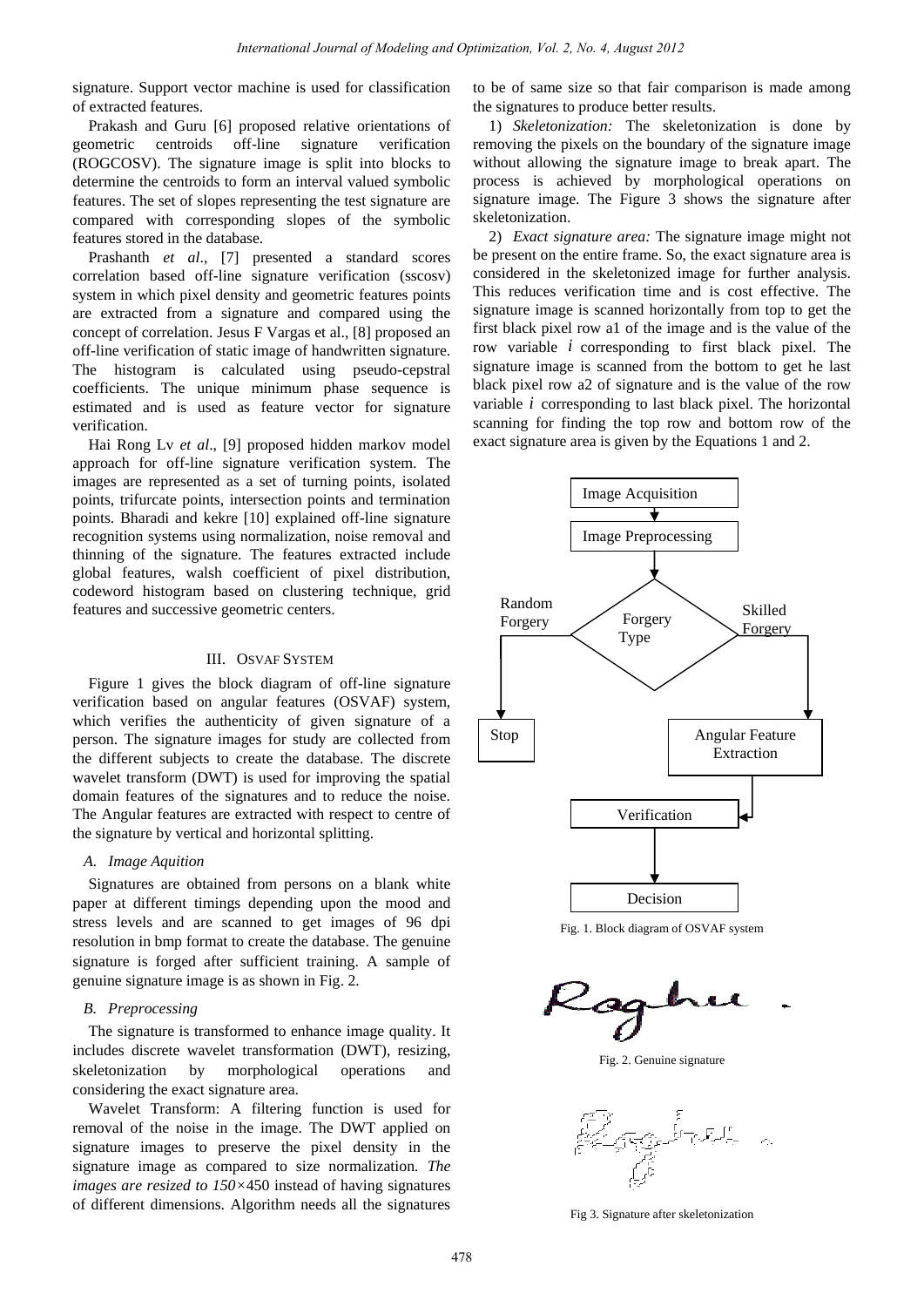signature. Support vector machine is used for classification of extracted features.

Prakash and Guru [6] proposed relative orientations of geometric centroids off-line signature verification (ROGCOSV). The signature image is split into blocks to determine the centroids to form an interval valued symbolic features. The set of slopes representing the test signature are compared with corresponding slopes of the symbolic features stored in the database.

Prashanth *et al*., [7] presented a standard scores correlation based off-line signature verification (sscosv) system in which pixel density and geometric features points are extracted from a signature and compared using the concept of correlation. Jesus F Vargas et al., [8] proposed an off-line verification of static image of handwritten signature. The histogram is calculated using pseudo-cepstral coefficients. The unique minimum phase sequence is estimated and is used as feature vector for signature verification.

Hai Rong Lv *et al*., [9] proposed hidden markov model approach for off-line signature verification system. The images are represented as a set of turning points, isolated points, trifurcate points, intersection points and termination points. Bharadi and kekre [10] explained off-line signature recognition systems using normalization, noise removal and thinning of the signature. The features extracted include global features, walsh coefficient of pixel distribution, codeword histogram based on clustering technique, grid features and successive geometric centers.

# III. OSVAF SYSTEM

Figure 1 gives the block diagram of off-line signature verification based on angular features (OSVAF) system, which verifies the authenticity of given signature of a person. The signature images for study are collected from the different subjects to create the database. The discrete wavelet transform (DWT) is used for improving the spatial domain features of the signatures and to reduce the noise. The Angular features are extracted with respect to centre of the signature by vertical and horizontal splitting.

# *A. Image Aquition*

Signatures are obtained from persons on a blank white paper at different timings depending upon the mood and stress levels and are scanned to get images of 96 dpi resolution in bmp format to create the database. The genuine signature is forged after sufficient training. A sample of genuine signature image is as shown in Fig. 2.

# *B. Preprocessing*

The signature is transformed to enhance image quality. It includes discrete wavelet transformation (DWT), resizing, skeletonization by morphological operations and considering the exact signature area.

Wavelet Transform: A filtering function is used for removal of the noise in the image. The DWT applied on signature images to preserve the pixel density in the signature image as compared to size normalization*. The images are resized to 150×*450 instead of having signatures of different dimensions. Algorithm needs all the signatures

to be of same size so that fair comparison is made among the signatures to produce better results.

1) *Skeletonization:* The skeletonization is done by removing the pixels on the boundary of the signature image without allowing the signature image to break apart. The process is achieved by morphological operations on signature image. The Figure 3 shows the signature after skeletonization.

2) *Exact signature area:* The signature image might not be present on the entire frame. So, the exact signature area is considered in the skeletonized image for further analysis. This reduces verification time and is cost effective. The signature image is scanned horizontally from top to get the first black pixel row a1 of the image and is the value of the row variable *i* corresponding to first black pixel. The signature image is scanned from the bottom to get he last black pixel row a2 of signature and is the value of the row variable *i* corresponding to last black pixel. The horizontal scanning for finding the top row and bottom row of the exact signature area is given by the Equations 1 and 2.



Fig. 1. Block diagram of OSVAF system



Fig. 2. Genuine signature



Fig 3. Signature after skeletonization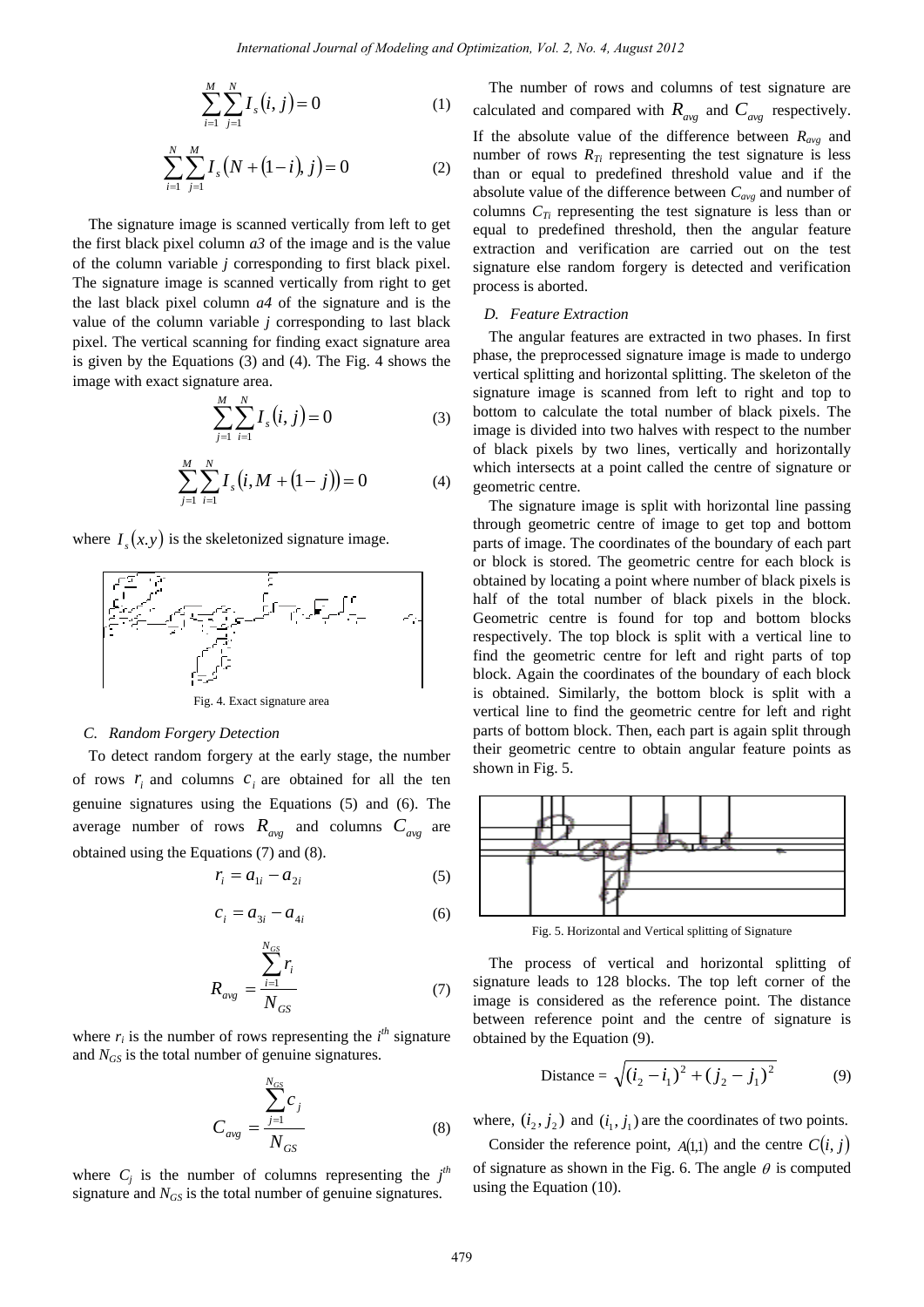$$
\sum_{i=1}^{M} \sum_{j=1}^{N} I_s(i, j) = 0
$$
 (1)

$$
\sum_{i=1}^{N} \sum_{j=1}^{M} I_s (N + (1-i), j) = 0
$$
 (2)

The signature image is scanned vertically from left to get the first black pixel column *a3* of the image and is the value of the column variable *j* corresponding to first black pixel. The signature image is scanned vertically from right to get the last black pixel column *a4* of the signature and is the value of the column variable *j* corresponding to last black pixel. The vertical scanning for finding exact signature area is given by the Equations (3) and (4). The Fig. 4 shows the image with exact signature area.

$$
\sum_{j=1}^{M} \sum_{i=1}^{N} I_s(i, j) = 0
$$
\n(3)

$$
\sum_{j=1}^{M} \sum_{i=1}^{N} I_s (i, M + (1-j)) = 0
$$
 (4)

where  $I_s(x, y)$  is the skeletonized signature image.



Fig. 4. Exact signature area

#### *C. Random Forgery Detection*

To detect random forgery at the early stage, the number of rows  $r_i$  and columns  $c_i$  are obtained for all the ten genuine signatures using the Equations (5) and (6). The average number of rows  $R_{avg}$  and columns  $C_{avg}$  are obtained using the Equations (7) and (8).

$$
r_i = a_{1i} - a_{2i} \tag{5}
$$

$$
c_i = a_{3i} - a_{4i} \tag{6}
$$

$$
R_{avg} = \frac{\sum_{i=1}^{N_{GS}} r_i}{N_{GS}} \tag{7}
$$

where  $r_i$  is the number of rows representing the  $i^{th}$  signature and  $N_{GS}$  is the total number of genuine signatures.

$$
C_{avg} = \frac{\sum_{j=1}^{N_{GS}} c_j}{N_{GS}}
$$
 (8)

where  $C_j$  is the number of columns representing the  $j<sup>th</sup>$ signature and  $N_{GS}$  is the total number of genuine signatures.

The number of rows and columns of test signature are calculated and compared with  $R_{avg}$  and  $C_{avg}$  respectively. If the absolute value of the difference between  $R_{ave}$  and number of rows  $R_{Ti}$  representing the test signature is less than or equal to predefined threshold value and if the absolute value of the difference between *Cavg* and number of columns  $C_{Ti}$  representing the test signature is less than or equal to predefined threshold, then the angular feature extraction and verification are carried out on the test signature else random forgery is detected and verification process is aborted.

#### *D. Feature Extraction*

The angular features are extracted in two phases. In first phase, the preprocessed signature image is made to undergo vertical splitting and horizontal splitting. The skeleton of the signature image is scanned from left to right and top to bottom to calculate the total number of black pixels. The image is divided into two halves with respect to the number of black pixels by two lines, vertically and horizontally which intersects at a point called the centre of signature or geometric centre.

The signature image is split with horizontal line passing through geometric centre of image to get top and bottom parts of image. The coordinates of the boundary of each part or block is stored. The geometric centre for each block is obtained by locating a point where number of black pixels is half of the total number of black pixels in the block. Geometric centre is found for top and bottom blocks respectively. The top block is split with a vertical line to find the geometric centre for left and right parts of top block. Again the coordinates of the boundary of each block is obtained. Similarly, the bottom block is split with a vertical line to find the geometric centre for left and right parts of bottom block. Then, each part is again split through their geometric centre to obtain angular feature points as shown in Fig. 5.



Fig. 5. Horizontal and Vertical splitting of Signature

The process of vertical and horizontal splitting of signature leads to 128 blocks. The top left corner of the image is considered as the reference point. The distance between reference point and the centre of signature is obtained by the Equation (9).

Distance = 
$$
\sqrt{(i_2 - i_1)^2 + (j_2 - j_1)^2}
$$
 (9)

where,  $(i_2, j_2)$  and  $(i_1, j_1)$  are the coordinates of two points.

Consider the reference point,  $A(1,1)$  and the centre  $C(i, j)$ of signature as shown in the Fig. 6. The angle  $\theta$  is computed using the Equation (10).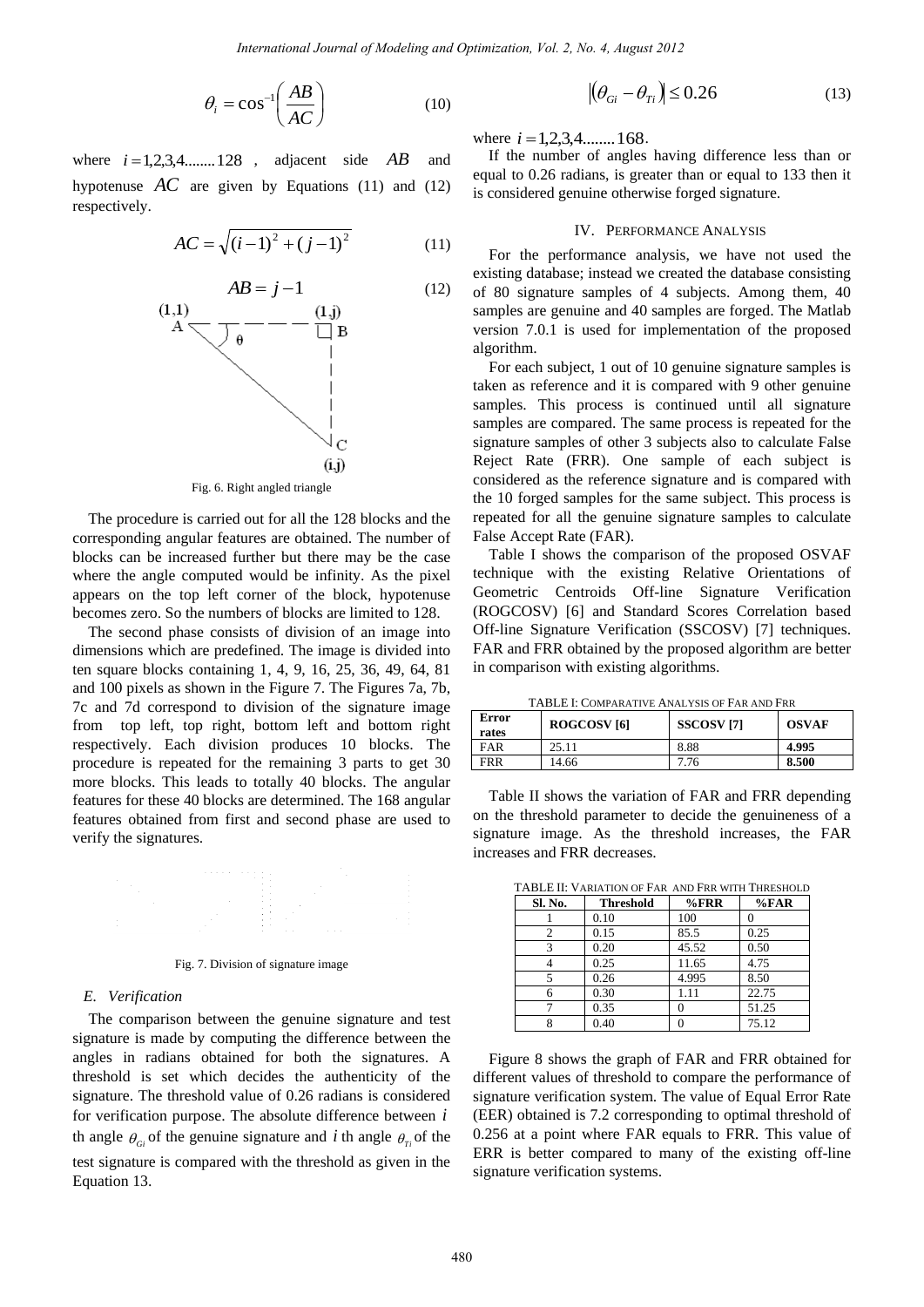$$
\theta_i = \cos^{-1}\left(\frac{AB}{AC}\right) \tag{10}
$$

where  $i = 1, 2, 3, 4, \ldots, 128$ , adjacent side *AB*  and hypotenuse  $AC$  are given by Equations (11) and (12) respectively.

$$
AC = \sqrt{(i-1)^2 + (j-1)^2}
$$
 (11)



The procedure is carried out for all the 128 blocks and the corresponding angular features are obtained. The number of blocks can be increased further but there may be the case where the angle computed would be infinity. As the pixel appears on the top left corner of the block, hypotenuse becomes zero. So the numbers of blocks are limited to 128.

The second phase consists of division of an image into dimensions which are predefined. The image is divided into ten square blocks containing 1, 4, 9, 16, 25, 36, 49, 64, 81 and 100 pixels as shown in the Figure 7. The Figures 7a, 7b, 7c and 7d correspond to division of the signature image from top left, top right, bottom left and bottom right respectively. Each division produces 10 blocks. The procedure is repeated for the remaining 3 parts to get 30 more blocks. This leads to totally 40 blocks. The angular features for these 40 blocks are determined. The 168 angular features obtained from first and second phase are used to verify the signatures.

### Fig. 7. Division of signature image

#### *E. Verification*

The comparison between the genuine signature and test signature is made by computing the difference between the angles in radians obtained for both the signatures. A threshold is set which decides the authenticity of the signature. The threshold value of 0.26 radians is considered for verification purpose. The absolute difference between *i* th angle  $\theta_{ci}$  of the genuine signature and *i* th angle  $\theta_{ri}$  of the test signature is compared with the threshold as given in the Equation 13.

$$
\left| \left( \theta_{Gi} - \theta_{Ti} \right) \right| \le 0.26 \tag{13}
$$

where  $i = 1, 2, 3, 4, \dots, 168$ .

If the number of angles having difference less than or equal to 0.26 radians, is greater than or equal to 133 then it is considered genuine otherwise forged signature.

#### IV. PERFORMANCE ANALYSIS

For the performance analysis, we have not used the existing database; instead we created the database consisting of 80 signature samples of 4 subjects. Among them, 40 samples are genuine and 40 samples are forged. The Matlab version 7.0.1 is used for implementation of the proposed algorithm.

For each subject, 1 out of 10 genuine signature samples is taken as reference and it is compared with 9 other genuine samples. This process is continued until all signature samples are compared. The same process is repeated for the signature samples of other 3 subjects also to calculate False Reject Rate (FRR). One sample of each subject is considered as the reference signature and is compared with the 10 forged samples for the same subject. This process is repeated for all the genuine signature samples to calculate False Accept Rate (FAR).

Table I shows the comparison of the proposed OSVAF technique with the existing Relative Orientations of Geometric Centroids Off-line Signature Verification (ROGCOSV) [6] and Standard Scores Correlation based Off-line Signature Verification (SSCOSV) [7] techniques. FAR and FRR obtained by the proposed algorithm are better in comparison with existing algorithms.

TABLE I: COMPARATIVE ANALYSIS OF FAR AND FRR

| Error<br>rates | ROGCOSV <sub>[6]</sub> | <b>SSCOSV</b> [7] | <b>OSVAF</b> |
|----------------|------------------------|-------------------|--------------|
| FAR            | 25.11                  | 8.88              | 4.995        |
| <b>FRR</b>     | 14.66                  | 7.76              | 8.500        |

Table II shows the variation of FAR and FRR depending on the threshold parameter to decide the genuineness of a signature image. As the threshold increases, the FAR increases and FRR decreases.

| TADLE II. VANATION OF FAN AND FNN WITH THNESHOLD |                  |         |       |  |
|--------------------------------------------------|------------------|---------|-------|--|
| Sl. No.                                          | <b>Threshold</b> | $%$ FRR | %FAR  |  |
|                                                  | 0.10             | 100     |       |  |
| 2                                                | 0.15             | 85.5    | 0.25  |  |
| 3                                                | 0.20             | 45.52   | 0.50  |  |
|                                                  | 0.25             | 11.65   | 4.75  |  |
| 5                                                | 0.26             | 4.995   | 8.50  |  |
|                                                  | 0.30             | 1.11    | 22.75 |  |
|                                                  | 0.35             | 0       | 51.25 |  |
| o                                                | 0.40             | 0       | 75.12 |  |

TABLE II: VARIATION OF FAR AND FRR WITH THRESHOLD

Figure 8 shows the graph of FAR and FRR obtained for different values of threshold to compare the performance of signature verification system. The value of Equal Error Rate (EER) obtained is 7.2 corresponding to optimal threshold of 0.256 at a point where FAR equals to FRR. This value of ERR is better compared to many of the existing off-line signature verification systems.